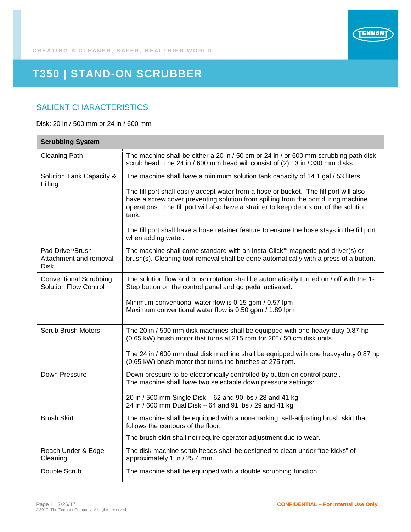

## **T350 | STAND-ON SCRUBBER**

## SALIENT CHARACTERISTICS

Disk: 20 in / 500 mm or 24 in / 600 mm

| <b>Scrubbing System</b>                                       |                                                                                                                                                                                                                                                                                |
|---------------------------------------------------------------|--------------------------------------------------------------------------------------------------------------------------------------------------------------------------------------------------------------------------------------------------------------------------------|
| <b>Cleaning Path</b>                                          | The machine shall be either a 20 in / 50 cm or 24 in / or 600 mm scrubbing path disk<br>scrub head. The 24 in / 600 mm head will consist of (2) 13 in / 330 mm disks.                                                                                                          |
| Solution Tank Capacity &<br>Filling                           | The machine shall have a minimum solution tank capacity of 14.1 gal / 53 liters.                                                                                                                                                                                               |
|                                                               | The fill port shall easily accept water from a hose or bucket. The fill port will also<br>have a screw cover preventing solution from spilling from the port during machine<br>operations. The fill port will also have a strainer to keep debris out of the solution<br>tank. |
|                                                               | The fill port shall have a hose retainer feature to ensure the hose stays in the fill port<br>when adding water.                                                                                                                                                               |
| Pad Driver/Brush<br>Attachment and removal -<br><b>Disk</b>   | The machine shall come standard with an Insta-Click™ magnetic pad driver(s) or<br>brush(s). Cleaning tool removal shall be done automatically with a press of a button.                                                                                                        |
| <b>Conventional Scrubbing</b><br><b>Solution Flow Control</b> | The solution flow and brush rotation shall be automatically turned on / off with the 1-<br>Step button on the control panel and go pedal activated.                                                                                                                            |
|                                                               | Minimum conventional water flow is 0.15 gpm / 0.57 lpm<br>Maximum conventional water flow is 0.50 gpm / 1.89 lpm                                                                                                                                                               |
| <b>Scrub Brush Motors</b>                                     | The 20 in / 500 mm disk machines shall be equipped with one heavy-duty 0.87 hp<br>(0.65 kW) brush motor that turns at 215 rpm for 20" / 50 cm disk units.                                                                                                                      |
|                                                               | The 24 in / 600 mm dual disk machine shall be equipped with one heavy-duty 0.87 hp<br>(0.65 kW) brush motor that turns the brushes at 275 rpm.                                                                                                                                 |
| Down Pressure                                                 | Down pressure to be electronically controlled by button on control panel.<br>The machine shall have two selectable down pressure settings:                                                                                                                                     |
|                                                               | 20 in / 500 mm Single Disk - 62 and 90 lbs / 28 and 41 kg<br>24 in / 600 mm Dual Disk - 64 and 91 lbs / 29 and 41 kg                                                                                                                                                           |
| <b>Brush Skirt</b>                                            | The machine shall be equipped with a non-marking, self-adjusting brush skirt that<br>follows the contours of the floor.                                                                                                                                                        |
|                                                               | The brush skirt shall not require operator adjustment due to wear.                                                                                                                                                                                                             |
| Reach Under & Edge<br>Cleaning                                | The disk machine scrub heads shall be designed to clean under "toe kicks" of<br>approximately 1 in / 25.4 mm.                                                                                                                                                                  |
| Double Scrub                                                  | The machine shall be equipped with a double scrubbing function.                                                                                                                                                                                                                |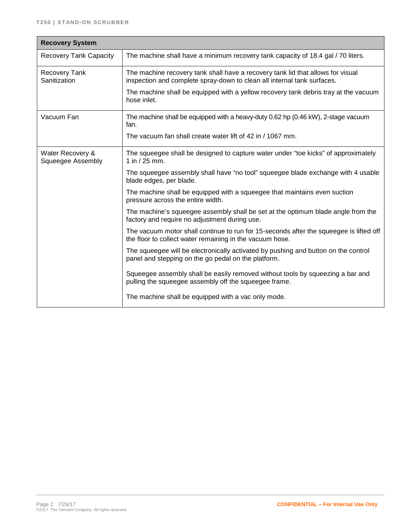| <b>Recovery System</b>                       |                                                                                                                                                            |  |
|----------------------------------------------|------------------------------------------------------------------------------------------------------------------------------------------------------------|--|
| <b>Recovery Tank Capacity</b>                | The machine shall have a minimum recovery tank capacity of 18.4 gal / 70 liters.                                                                           |  |
| <b>Recovery Tank</b><br>Sanitization         | The machine recovery tank shall have a recovery tank lid that allows for visual<br>inspection and complete spray-down to clean all internal tank surfaces. |  |
|                                              | The machine shall be equipped with a yellow recovery tank debris tray at the vacuum<br>hose inlet.                                                         |  |
| Vacuum Fan                                   | The machine shall be equipped with a heavy-duty 0.62 hp (0.46 kW), 2-stage vacuum<br>fan.                                                                  |  |
|                                              | The vacuum fan shall create water lift of 42 in / 1067 mm.                                                                                                 |  |
| Water Recovery &<br><b>Squeegee Assembly</b> | The squeegee shall be designed to capture water under "toe kicks" of approximately<br>1 in $/$ 25 mm.                                                      |  |
|                                              | The squeegee assembly shall have "no tool" squeegee blade exchange with 4 usable<br>blade edges, per blade.                                                |  |
|                                              | The machine shall be equipped with a squeegee that maintains even suction<br>pressure across the entire width.                                             |  |
|                                              | The machine's squeegee assembly shall be set at the optimum blade angle from the<br>factory and require no adjustment during use.                          |  |
|                                              | The vacuum motor shall continue to run for 15-seconds after the squeegee is lifted off<br>the floor to collect water remaining in the vacuum hose.         |  |
|                                              | The squeegee will be electronically activated by pushing and button on the control<br>panel and stepping on the go pedal on the platform.                  |  |
|                                              | Squeegee assembly shall be easily removed without tools by squeezing a bar and<br>pulling the squeegee assembly off the squeegee frame.                    |  |
|                                              | The machine shall be equipped with a vac only mode.                                                                                                        |  |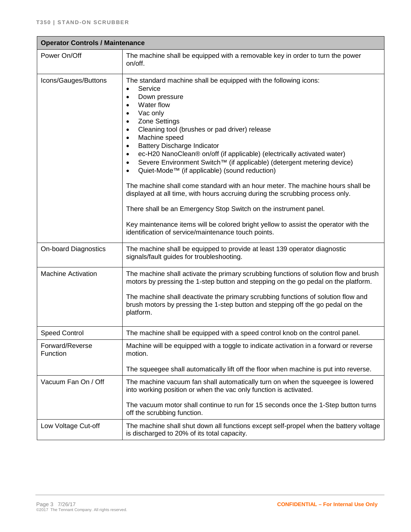| <b>Operator Controls / Maintenance</b> |                                                                                                                                                                                                                                                                                                                                                                                                                                                                                                                                                                                                                                                                                                                                                                                                                                                                                                                                                                                           |  |
|----------------------------------------|-------------------------------------------------------------------------------------------------------------------------------------------------------------------------------------------------------------------------------------------------------------------------------------------------------------------------------------------------------------------------------------------------------------------------------------------------------------------------------------------------------------------------------------------------------------------------------------------------------------------------------------------------------------------------------------------------------------------------------------------------------------------------------------------------------------------------------------------------------------------------------------------------------------------------------------------------------------------------------------------|--|
| Power On/Off                           | The machine shall be equipped with a removable key in order to turn the power<br>on/off.                                                                                                                                                                                                                                                                                                                                                                                                                                                                                                                                                                                                                                                                                                                                                                                                                                                                                                  |  |
| Icons/Gauges/Buttons                   | The standard machine shall be equipped with the following icons:<br>Service<br>$\bullet$<br>Down pressure<br>$\bullet$<br>Water flow<br>$\bullet$<br>Vac only<br>$\bullet$<br>Zone Settings<br>$\bullet$<br>Cleaning tool (brushes or pad driver) release<br>$\bullet$<br>Machine speed<br>$\bullet$<br><b>Battery Discharge Indicator</b><br>$\bullet$<br>ec-H20 NanoClean® on/off (if applicable) (electrically activated water)<br>$\bullet$<br>Severe Environment Switch™ (if applicable) (detergent metering device)<br>$\bullet$<br>Quiet-Mode™ (if applicable) (sound reduction)<br>$\bullet$<br>The machine shall come standard with an hour meter. The machine hours shall be<br>displayed at all time, with hours accruing during the scrubbing process only.<br>There shall be an Emergency Stop Switch on the instrument panel.<br>Key maintenance items will be colored bright yellow to assist the operator with the<br>identification of service/maintenance touch points. |  |
| <b>On-board Diagnostics</b>            | The machine shall be equipped to provide at least 139 operator diagnostic<br>signals/fault guides for troubleshooting.                                                                                                                                                                                                                                                                                                                                                                                                                                                                                                                                                                                                                                                                                                                                                                                                                                                                    |  |
| <b>Machine Activation</b>              | The machine shall activate the primary scrubbing functions of solution flow and brush<br>motors by pressing the 1-step button and stepping on the go pedal on the platform.<br>The machine shall deactivate the primary scrubbing functions of solution flow and<br>brush motors by pressing the 1-step button and stepping off the go pedal on the<br>platform.                                                                                                                                                                                                                                                                                                                                                                                                                                                                                                                                                                                                                          |  |
| <b>Speed Control</b>                   | The machine shall be equipped with a speed control knob on the control panel.                                                                                                                                                                                                                                                                                                                                                                                                                                                                                                                                                                                                                                                                                                                                                                                                                                                                                                             |  |
| Forward/Reverse<br>Function            | Machine will be equipped with a toggle to indicate activation in a forward or reverse<br>motion.<br>The squeegee shall automatically lift off the floor when machine is put into reverse.                                                                                                                                                                                                                                                                                                                                                                                                                                                                                                                                                                                                                                                                                                                                                                                                 |  |
| Vacuum Fan On / Off                    | The machine vacuum fan shall automatically turn on when the squeegee is lowered<br>into working position or when the vac only function is activated.<br>The vacuum motor shall continue to run for 15 seconds once the 1-Step button turns<br>off the scrubbing function.                                                                                                                                                                                                                                                                                                                                                                                                                                                                                                                                                                                                                                                                                                                 |  |
| Low Voltage Cut-off                    | The machine shall shut down all functions except self-propel when the battery voltage<br>is discharged to 20% of its total capacity.                                                                                                                                                                                                                                                                                                                                                                                                                                                                                                                                                                                                                                                                                                                                                                                                                                                      |  |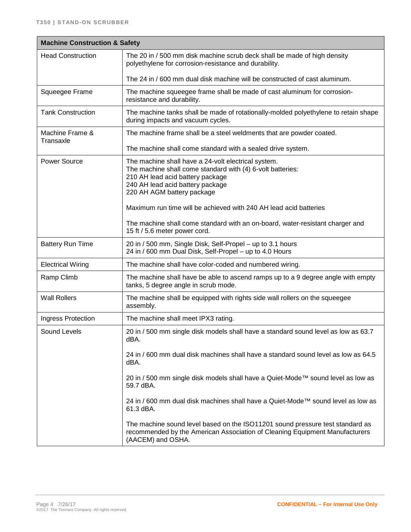| <b>Machine Construction &amp; Safety</b> |                                                                                                                                                                                                                         |
|------------------------------------------|-------------------------------------------------------------------------------------------------------------------------------------------------------------------------------------------------------------------------|
| <b>Head Construction</b>                 | The 20 in / 500 mm disk machine scrub deck shall be made of high density<br>polyethylene for corrosion-resistance and durability.                                                                                       |
|                                          | The 24 in / 600 mm dual disk machine will be constructed of cast aluminum.                                                                                                                                              |
| Squeegee Frame                           | The machine squeegee frame shall be made of cast aluminum for corrosion-<br>resistance and durability.                                                                                                                  |
| <b>Tank Construction</b>                 | The machine tanks shall be made of rotationally-molded polyethylene to retain shape<br>during impacts and vacuum cycles.                                                                                                |
| Machine Frame &<br>Transaxle             | The machine frame shall be a steel weldments that are powder coated.                                                                                                                                                    |
|                                          | The machine shall come standard with a sealed drive system.                                                                                                                                                             |
| <b>Power Source</b>                      | The machine shall have a 24-volt electrical system.<br>The machine shall come standard with (4) 6-volt batteries:<br>210 AH lead acid battery package<br>240 AH lead acid battery package<br>220 AH AGM battery package |
|                                          | Maximum run time will be achieved with 240 AH lead acid batteries                                                                                                                                                       |
|                                          | The machine shall come standard with an on-board, water-resistant charger and<br>15 ft / 5.6 meter power cord.                                                                                                          |
| <b>Battery Run Time</b>                  | 20 in / 500 mm, Single Disk, Self-Propel - up to 3.1 hours<br>24 in / 600 mm Dual Disk, Self-Propel - up to 4.0 Hours                                                                                                   |
| <b>Electrical Wiring</b>                 | The machine shall have color-coded and numbered wiring.                                                                                                                                                                 |
| Ramp Climb                               | The machine shall have be able to ascend ramps up to a 9 degree angle with empty<br>tanks, 5 degree angle in scrub mode.                                                                                                |
| <b>Wall Rollers</b>                      | The machine shall be equipped with rights side wall rollers on the squeegee<br>assembly.                                                                                                                                |
| Ingress Protection                       | The machine shall meet IPX3 rating.                                                                                                                                                                                     |
| Sound Levels                             | 20 in / 500 mm single disk models shall have a standard sound level as low as 63.7<br>dBA.                                                                                                                              |
|                                          | 24 in / 600 mm dual disk machines shall have a standard sound level as low as 64.5<br>dBA.                                                                                                                              |
|                                          | 20 in / 500 mm single disk models shall have a Quiet-Mode™ sound level as low as<br>59.7 dBA.                                                                                                                           |
|                                          | 24 in / 600 mm dual disk machines shall have a Quiet-Mode™ sound level as low as<br>61.3 dBA.                                                                                                                           |
|                                          | The machine sound level based on the ISO11201 sound pressure test standard as<br>recommended by the American Association of Cleaning Equipment Manufacturers<br>(AACEM) and OSHA.                                       |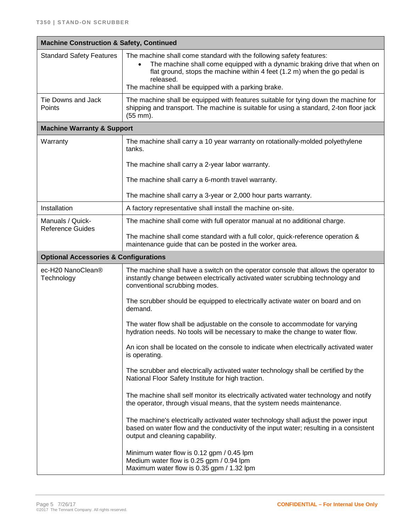| <b>Machine Construction &amp; Safety, Continued</b> |                                                                                                                                                                                                                                                                                                   |  |
|-----------------------------------------------------|---------------------------------------------------------------------------------------------------------------------------------------------------------------------------------------------------------------------------------------------------------------------------------------------------|--|
| <b>Standard Safety Features</b>                     | The machine shall come standard with the following safety features:<br>The machine shall come equipped with a dynamic braking drive that when on<br>flat ground, stops the machine within 4 feet (1.2 m) when the go pedal is<br>released.<br>The machine shall be equipped with a parking brake. |  |
|                                                     |                                                                                                                                                                                                                                                                                                   |  |
| Tie Downs and Jack<br>Points                        | The machine shall be equipped with features suitable for tying down the machine for<br>shipping and transport. The machine is suitable for using a standard, 2-ton floor jack<br>$(55$ mm).                                                                                                       |  |
| <b>Machine Warranty &amp; Support</b>               |                                                                                                                                                                                                                                                                                                   |  |
| Warranty                                            | The machine shall carry a 10 year warranty on rotationally-molded polyethylene<br>tanks.                                                                                                                                                                                                          |  |
|                                                     | The machine shall carry a 2-year labor warranty.                                                                                                                                                                                                                                                  |  |
|                                                     | The machine shall carry a 6-month travel warranty.                                                                                                                                                                                                                                                |  |
|                                                     | The machine shall carry a 3-year or 2,000 hour parts warranty.                                                                                                                                                                                                                                    |  |
| Installation                                        | A factory representative shall install the machine on-site.                                                                                                                                                                                                                                       |  |
| Manuals / Quick-<br><b>Reference Guides</b>         | The machine shall come with full operator manual at no additional charge.                                                                                                                                                                                                                         |  |
|                                                     | The machine shall come standard with a full color, quick-reference operation &<br>maintenance guide that can be posted in the worker area.                                                                                                                                                        |  |
| <b>Optional Accessories &amp; Configurations</b>    |                                                                                                                                                                                                                                                                                                   |  |
| ec-H20 NanoClean®<br>Technology                     | The machine shall have a switch on the operator console that allows the operator to<br>instantly change between electrically activated water scrubbing technology and<br>conventional scrubbing modes.                                                                                            |  |
|                                                     | The scrubber should be equipped to electrically activate water on board and on<br>demand.                                                                                                                                                                                                         |  |
|                                                     | The water flow shall be adjustable on the console to accommodate for varying<br>hydration needs. No tools will be necessary to make the change to water flow.                                                                                                                                     |  |
|                                                     | An icon shall be located on the console to indicate when electrically activated water<br>is operating.                                                                                                                                                                                            |  |
|                                                     | The scrubber and electrically activated water technology shall be certified by the<br>National Floor Safety Institute for high traction.                                                                                                                                                          |  |
|                                                     | The machine shall self monitor its electrically activated water technology and notify<br>the operator, through visual means, that the system needs maintenance.                                                                                                                                   |  |
|                                                     | The machine's electrically activated water technology shall adjust the power input<br>based on water flow and the conductivity of the input water; resulting in a consistent<br>output and cleaning capability.                                                                                   |  |
|                                                     | Minimum water flow is 0.12 gpm / 0.45 lpm<br>Medium water flow is 0.25 gpm / 0.94 lpm<br>Maximum water flow is 0.35 gpm / 1.32 lpm                                                                                                                                                                |  |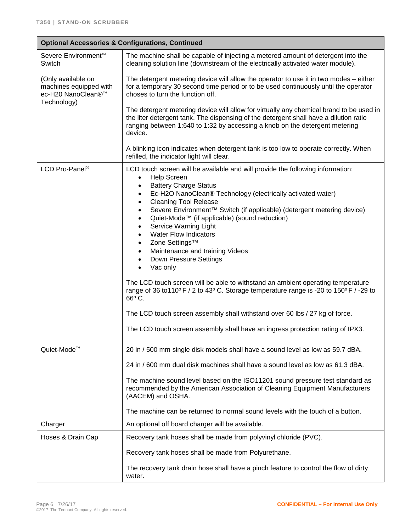| <b>Optional Accessories &amp; Configurations, Continued</b>                       |                                                                                                                                                                                                                                                                                                                                                                                                                                  |
|-----------------------------------------------------------------------------------|----------------------------------------------------------------------------------------------------------------------------------------------------------------------------------------------------------------------------------------------------------------------------------------------------------------------------------------------------------------------------------------------------------------------------------|
| Severe Environment <sup>™</sup><br>Switch                                         | The machine shall be capable of injecting a metered amount of detergent into the<br>cleaning solution line (downstream of the electrically activated water module).                                                                                                                                                                                                                                                              |
| (Only available on<br>machines equipped with<br>ec-H20 NanoClean®™<br>Technology) | The detergent metering device will allow the operator to use it in two modes - either<br>for a temporary 30 second time period or to be used continuously until the operator<br>choses to turn the function off.                                                                                                                                                                                                                 |
|                                                                                   | The detergent metering device will allow for virtually any chemical brand to be used in<br>the liter detergent tank. The dispensing of the detergent shall have a dilution ratio<br>ranging between 1:640 to 1:32 by accessing a knob on the detergent metering<br>device.                                                                                                                                                       |
|                                                                                   | A blinking icon indicates when detergent tank is too low to operate correctly. When<br>refilled, the indicator light will clear.                                                                                                                                                                                                                                                                                                 |
| LCD Pro-Panel <sup>®</sup>                                                        | LCD touch screen will be available and will provide the following information:<br><b>Help Screen</b><br>$\bullet$<br><b>Battery Charge Status</b><br>$\bullet$<br>Ec-H2O NanoClean® Technology (electrically activated water)<br>$\bullet$                                                                                                                                                                                       |
|                                                                                   | <b>Cleaning Tool Release</b><br>$\bullet$<br>Severe Environment™ Switch (if applicable) (detergent metering device)<br>$\bullet$<br>Quiet-Mode™ (if applicable) (sound reduction)<br>$\bullet$<br>Service Warning Light<br>$\bullet$<br><b>Water Flow Indicators</b><br>$\bullet$<br>Zone Settings™<br>$\bullet$<br>Maintenance and training Videos<br>$\bullet$<br>Down Pressure Settings<br>$\bullet$<br>Vac only<br>$\bullet$ |
|                                                                                   | The LCD touch screen will be able to withstand an ambient operating temperature<br>range of 36 to 110° F / 2 to 43° C. Storage temperature range is -20 to 150° F / -29 to<br>66°C.                                                                                                                                                                                                                                              |
|                                                                                   | The LCD touch screen assembly shall withstand over 60 lbs / 27 kg of force.                                                                                                                                                                                                                                                                                                                                                      |
|                                                                                   | The LCD touch screen assembly shall have an ingress protection rating of IPX3.                                                                                                                                                                                                                                                                                                                                                   |
| Quiet-Mode <sup>™</sup>                                                           | 20 in / 500 mm single disk models shall have a sound level as low as 59.7 dBA.                                                                                                                                                                                                                                                                                                                                                   |
|                                                                                   | 24 in / 600 mm dual disk machines shall have a sound level as low as 61.3 dBA.                                                                                                                                                                                                                                                                                                                                                   |
|                                                                                   | The machine sound level based on the ISO11201 sound pressure test standard as<br>recommended by the American Association of Cleaning Equipment Manufacturers<br>(AACEM) and OSHA.                                                                                                                                                                                                                                                |
|                                                                                   | The machine can be returned to normal sound levels with the touch of a button.                                                                                                                                                                                                                                                                                                                                                   |
| Charger                                                                           | An optional off board charger will be available.                                                                                                                                                                                                                                                                                                                                                                                 |
| Hoses & Drain Cap                                                                 | Recovery tank hoses shall be made from polyvinyl chloride (PVC).                                                                                                                                                                                                                                                                                                                                                                 |
|                                                                                   | Recovery tank hoses shall be made from Polyurethane.                                                                                                                                                                                                                                                                                                                                                                             |
|                                                                                   | The recovery tank drain hose shall have a pinch feature to control the flow of dirty<br>water.                                                                                                                                                                                                                                                                                                                                   |